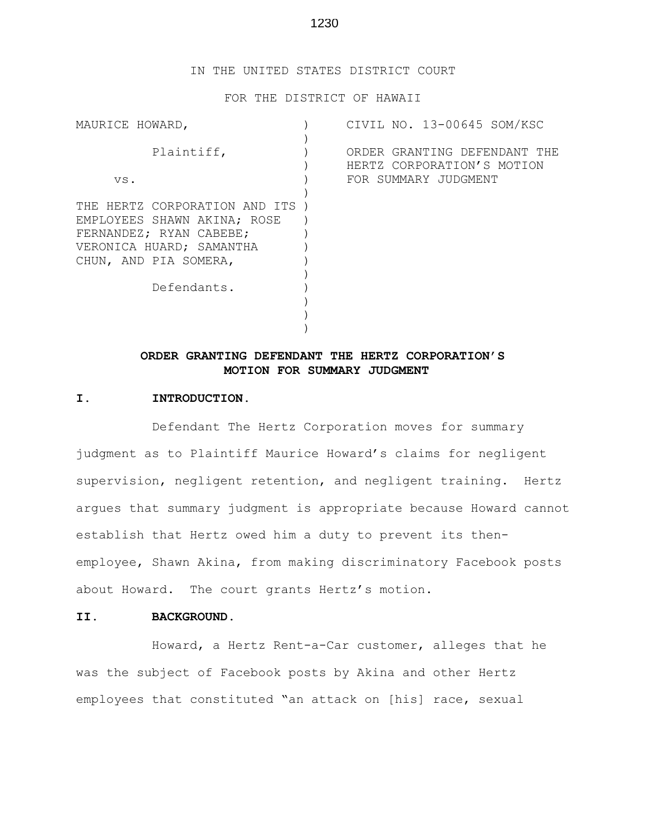### 1230

#### IN THE UNITED STATES DISTRICT COURT

#### FOR THE DISTRICT OF HAWAII

| CIVIL NO. 13-00645 SOM/KSC                                                         |
|------------------------------------------------------------------------------------|
| ORDER GRANTING DEFENDANT THE<br>HERTZ CORPORATION'S MOTION<br>FOR SUMMARY JUDGMENT |
|                                                                                    |
|                                                                                    |
|                                                                                    |

# **ORDER GRANTING DEFENDANT THE HERTZ CORPORATION'S MOTION FOR SUMMARY JUDGMENT**

#### **I. INTRODUCTION.**

Defendant The Hertz Corporation moves for summary judgment as to Plaintiff Maurice Howard's claims for negligent supervision, negligent retention, and negligent training. Hertz argues that summary judgment is appropriate because Howard cannot establish that Hertz owed him a duty to prevent its thenemployee, Shawn Akina, from making discriminatory Facebook posts about Howard. The court grants Hertz's motion.

### **II. BACKGROUND.**

Howard, a Hertz Rent-a-Car customer, alleges that he was the subject of Facebook posts by Akina and other Hertz employees that constituted "an attack on [his] race, sexual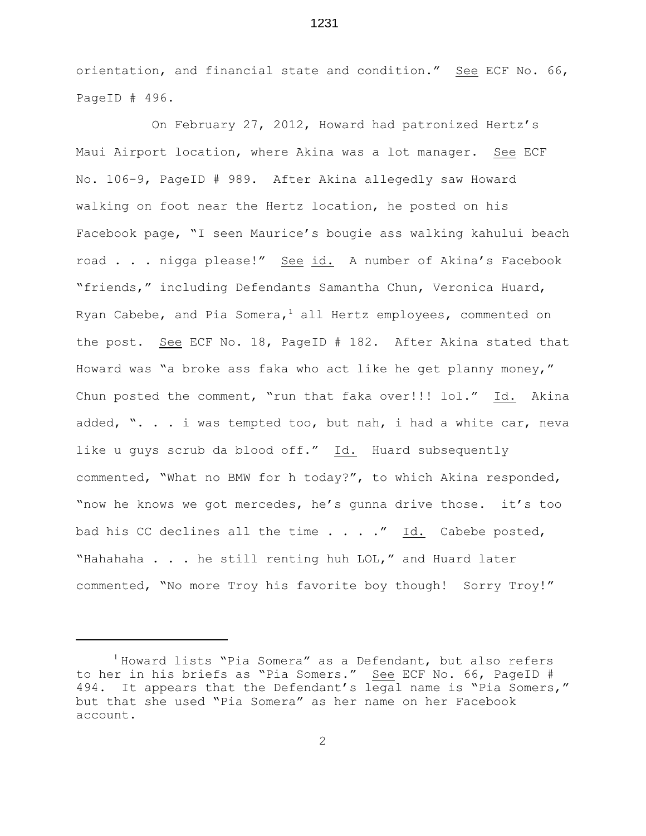orientation, and financial state and condition." See ECF No. 66, PageID # 496.

1231

On February 27, 2012, Howard had patronized Hertz's Maui Airport location, where Akina was a lot manager. See ECF No. 106-9, PageID # 989. After Akina allegedly saw Howard walking on foot near the Hertz location, he posted on his Facebook page, "I seen Maurice's bougie ass walking kahului beach road . . . nigga please!" See id. A number of Akina's Facebook "friends," including Defendants Samantha Chun, Veronica Huard, Ryan Cabebe, and Pia Somera, all Hertz employees, commented on the post. See ECF No. 18, PageID # 182. After Akina stated that Howard was "a broke ass faka who act like he get planny money," Chun posted the comment, "run that faka over!!! lol." Id. Akina added, ". . . i was tempted too, but nah, i had a white car, neva like u guys scrub da blood off." Id. Huard subsequently commented, "What no BMW for h today?", to which Akina responded, "now he knows we got mercedes, he's gunna drive those. it's too bad his CC declines all the time . . . ." Id. Cabebe posted, "Hahahaha . . . he still renting huh LOL," and Huard later commented, "No more Troy his favorite boy though! Sorry Troy!"

<sup>&</sup>lt;sup>1</sup> Howard lists "Pia Somera" as a Defendant, but also refers to her in his briefs as "Pia Somers." See ECF No. 66, PageID # 494. It appears that the Defendant's legal name is "Pia Somers," but that she used "Pia Somera" as her name on her Facebook account.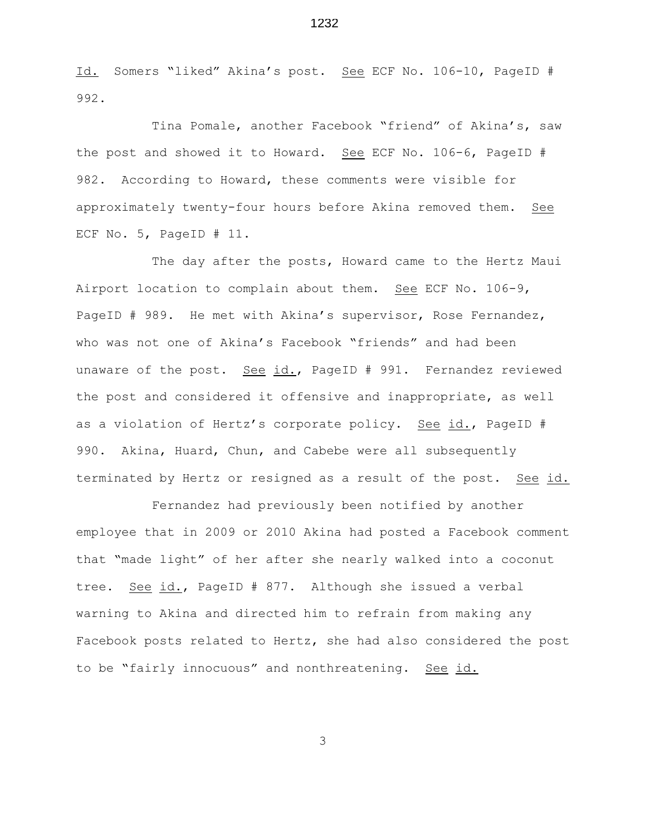Id. Somers "liked" Akina's post. See ECF No. 106-10, PageID # 992.

Tina Pomale, another Facebook "friend" of Akina's, saw the post and showed it to Howard. See ECF No. 106-6, PageID # 982. According to Howard, these comments were visible for approximately twenty-four hours before Akina removed them. See ECF No. 5, PageID # 11.

The day after the posts, Howard came to the Hertz Maui Airport location to complain about them. See ECF No. 106-9, PageID # 989. He met with Akina's supervisor, Rose Fernandez, who was not one of Akina's Facebook "friends" and had been unaware of the post. See id., PageID # 991. Fernandez reviewed the post and considered it offensive and inappropriate, as well as a violation of Hertz's corporate policy. See id., PageID # 990. Akina, Huard, Chun, and Cabebe were all subsequently terminated by Hertz or resigned as a result of the post. See id.

Fernandez had previously been notified by another employee that in 2009 or 2010 Akina had posted a Facebook comment that "made light" of her after she nearly walked into a coconut tree. See id., PageID # 877. Although she issued a verbal warning to Akina and directed him to refrain from making any Facebook posts related to Hertz, she had also considered the post to be "fairly innocuous" and nonthreatening. See id.

3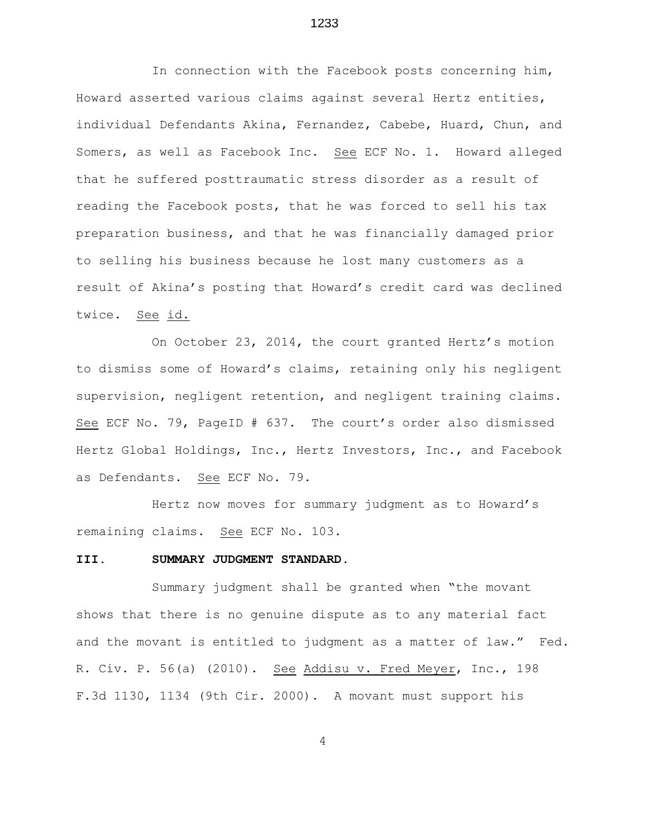In connection with the Facebook posts concerning him, Howard asserted various claims against several Hertz entities, individual Defendants Akina, Fernandez, Cabebe, Huard, Chun, and Somers, as well as Facebook Inc. See ECF No. 1. Howard alleged that he suffered posttraumatic stress disorder as a result of reading the Facebook posts, that he was forced to sell his tax preparation business, and that he was financially damaged prior to selling his business because he lost many customers as a result of Akina's posting that Howard's credit card was declined twice. See id.

On October 23, 2014, the court granted Hertz's motion to dismiss some of Howard's claims, retaining only his negligent supervision, negligent retention, and negligent training claims. See ECF No. 79, PageID # 637. The court's order also dismissed Hertz Global Holdings, Inc., Hertz Investors, Inc., and Facebook as Defendants. See ECF No. 79.

Hertz now moves for summary judgment as to Howard's remaining claims. See ECF No. 103.

#### **III. SUMMARY JUDGMENT STANDARD.**

Summary judgment shall be granted when "the movant shows that there is no genuine dispute as to any material fact and the movant is entitled to judgment as a matter of law." Fed. R. Civ. P. 56(a) (2010). See Addisu v. Fred Meyer, Inc., 198 F.3d 1130, 1134 (9th Cir. 2000). A movant must support his

4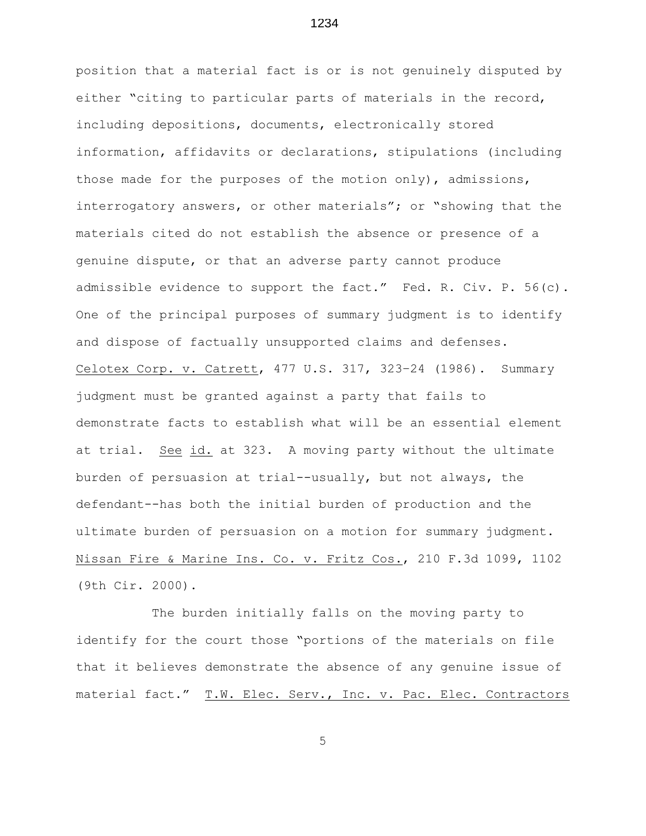position that a material fact is or is not genuinely disputed by either "citing to particular parts of materials in the record, including depositions, documents, electronically stored information, affidavits or declarations, stipulations (including those made for the purposes of the motion only), admissions, interrogatory answers, or other materials"; or "showing that the materials cited do not establish the absence or presence of a genuine dispute, or that an adverse party cannot produce admissible evidence to support the fact." Fed. R. Civ. P. 56(c). One of the principal purposes of summary judgment is to identify and dispose of factually unsupported claims and defenses. Celotex Corp. v. Catrett, 477 U.S. 317, 323–24 (1986). Summary judgment must be granted against a party that fails to demonstrate facts to establish what will be an essential element at trial. See id. at 323. A moving party without the ultimate burden of persuasion at trial--usually, but not always, the defendant--has both the initial burden of production and the ultimate burden of persuasion on a motion for summary judgment. Nissan Fire & Marine Ins. Co. v. Fritz Cos., 210 F.3d 1099, 1102 (9th Cir. 2000).

The burden initially falls on the moving party to identify for the court those "portions of the materials on file that it believes demonstrate the absence of any genuine issue of material fact." T.W. Elec. Serv., Inc. v. Pac. Elec. Contractors

5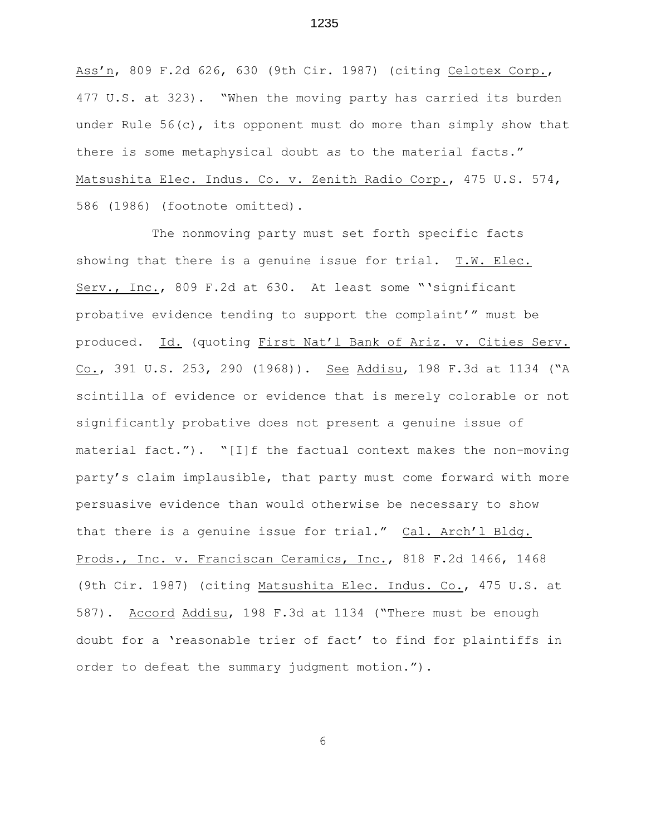Ass'n, 809 F.2d 626, 630 (9th Cir. 1987) (citing Celotex Corp., 477 U.S. at 323). "When the moving party has carried its burden under Rule  $56(c)$ , its opponent must do more than simply show that there is some metaphysical doubt as to the material facts." Matsushita Elec. Indus. Co. v. Zenith Radio Corp., 475 U.S. 574, 586 (1986) (footnote omitted).

The nonmoving party must set forth specific facts showing that there is a genuine issue for trial. T.W. Elec. Serv., Inc., 809 F.2d at 630. At least some "'significant probative evidence tending to support the complaint'" must be produced. Id. (quoting First Nat'l Bank of Ariz. v. Cities Serv. Co., 391 U.S. 253, 290 (1968)). See Addisu, 198 F.3d at 1134 ("A scintilla of evidence or evidence that is merely colorable or not significantly probative does not present a genuine issue of material fact."). "[I]f the factual context makes the non-moving party's claim implausible, that party must come forward with more persuasive evidence than would otherwise be necessary to show that there is a genuine issue for trial." Cal. Arch'l Bldg. Prods., Inc. v. Franciscan Ceramics, Inc., 818 F.2d 1466, 1468 (9th Cir. 1987) (citing Matsushita Elec. Indus. Co., 475 U.S. at 587). Accord Addisu, 198 F.3d at 1134 ("There must be enough doubt for a 'reasonable trier of fact' to find for plaintiffs in order to defeat the summary judgment motion.").

6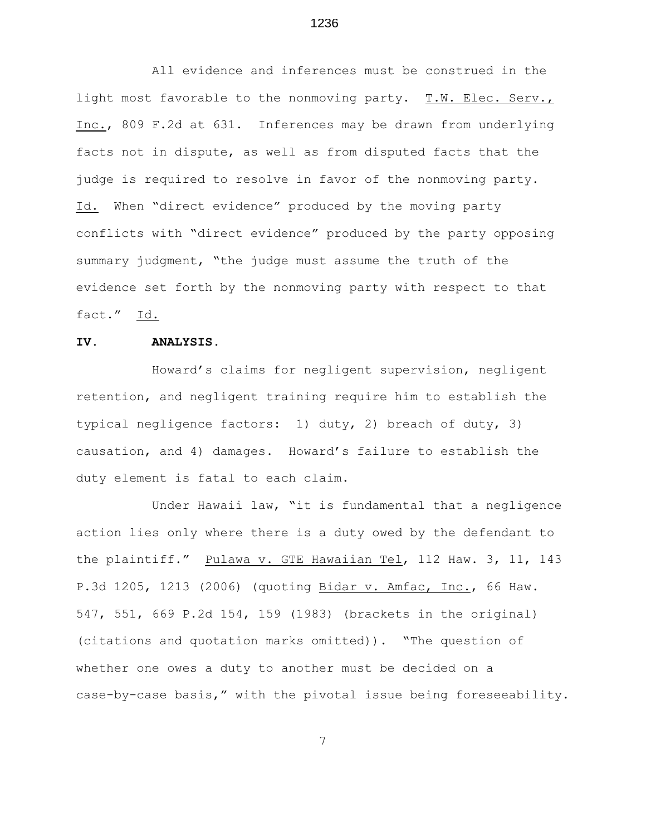All evidence and inferences must be construed in the light most favorable to the nonmoving party. T.W. Elec. Serv., Inc., 809 F.2d at 631. Inferences may be drawn from underlying facts not in dispute, as well as from disputed facts that the judge is required to resolve in favor of the nonmoving party. Id. When "direct evidence" produced by the moving party conflicts with "direct evidence" produced by the party opposing summary judgment, "the judge must assume the truth of the evidence set forth by the nonmoving party with respect to that fact." Id.

### **IV. ANALYSIS.**

Howard's claims for negligent supervision, negligent retention, and negligent training require him to establish the typical negligence factors: 1) duty, 2) breach of duty, 3) causation, and 4) damages. Howard's failure to establish the duty element is fatal to each claim.

Under Hawaii law, "it is fundamental that a negligence action lies only where there is a duty owed by the defendant to the plaintiff." Pulawa v. GTE Hawaiian Tel, 112 Haw. 3, 11, 143 P.3d 1205, 1213 (2006) (quoting Bidar v. Amfac, Inc., 66 Haw. 547, 551, 669 P.2d 154, 159 (1983) (brackets in the original) (citations and quotation marks omitted)). "The question of whether one owes a duty to another must be decided on a case-by-case basis," with the pivotal issue being foreseeability.

7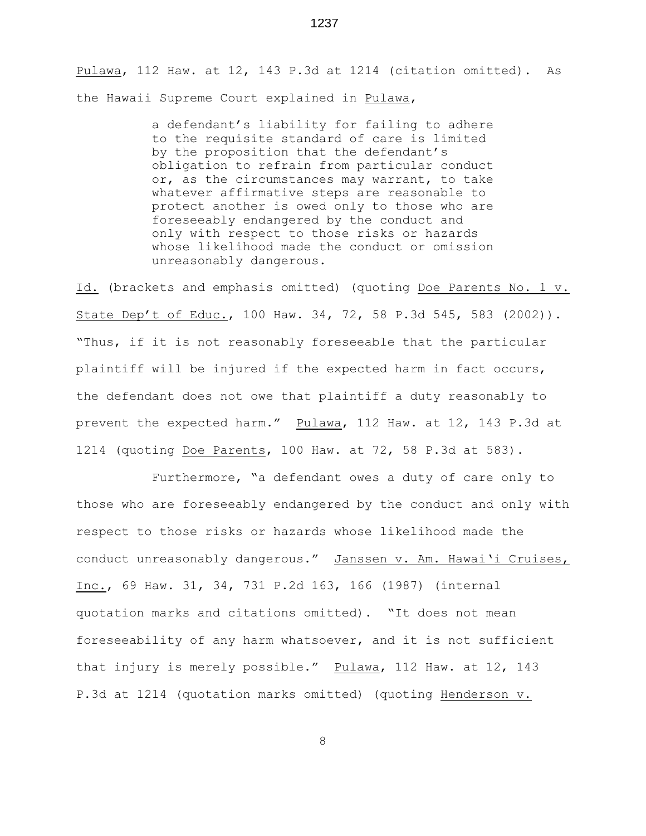Pulawa, 112 Haw. at 12, 143 P.3d at 1214 (citation omitted). As the Hawaii Supreme Court explained in Pulawa,

> a defendant's liability for failing to adhere to the requisite standard of care is limited by the proposition that the defendant's obligation to refrain from particular conduct or, as the circumstances may warrant, to take whatever affirmative steps are reasonable to protect another is owed only to those who are foreseeably endangered by the conduct and only with respect to those risks or hazards whose likelihood made the conduct or omission unreasonably dangerous.

Id. (brackets and emphasis omitted) (quoting Doe Parents No. 1 v. State Dep't of Educ., 100 Haw. 34, 72, 58 P.3d 545, 583 (2002)). "Thus, if it is not reasonably foreseeable that the particular plaintiff will be injured if the expected harm in fact occurs, the defendant does not owe that plaintiff a duty reasonably to prevent the expected harm." Pulawa, 112 Haw. at 12, 143 P.3d at 1214 (quoting Doe Parents, 100 Haw. at 72, 58 P.3d at 583).

Furthermore, "a defendant owes a duty of care only to those who are foreseeably endangered by the conduct and only with respect to those risks or hazards whose likelihood made the conduct unreasonably dangerous." Janssen v. Am. Hawai'i Cruises, Inc., 69 Haw. 31, 34, 731 P.2d 163, 166 (1987) (internal quotation marks and citations omitted). "It does not mean foreseeability of any harm whatsoever, and it is not sufficient that injury is merely possible." Pulawa, 112 Haw. at 12, 143 P.3d at 1214 (quotation marks omitted) (quoting Henderson v.

1237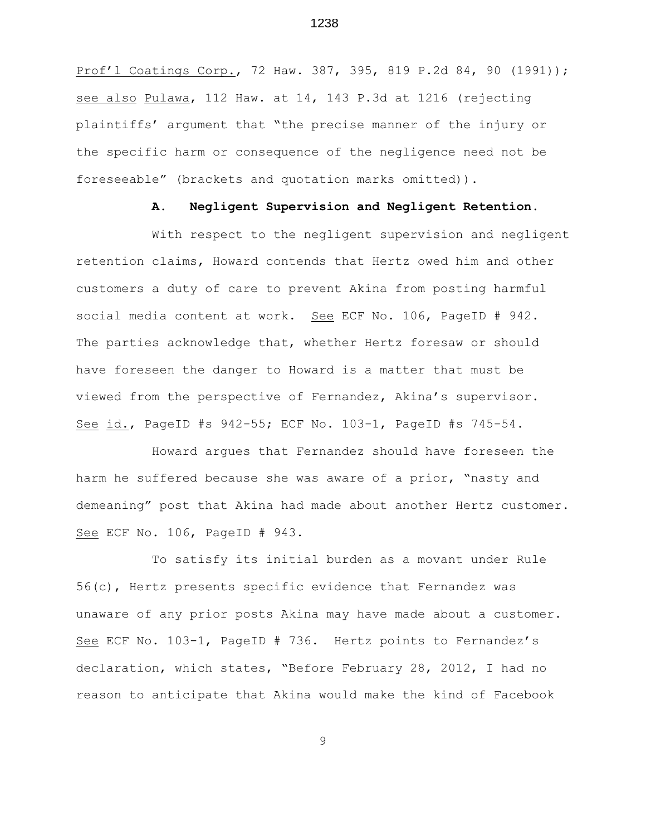Prof'l Coatings Corp., 72 Haw. 387, 395, 819 P.2d 84, 90 (1991)); see also Pulawa, 112 Haw. at 14, 143 P.3d at 1216 (rejecting plaintiffs' argument that "the precise manner of the injury or the specific harm or consequence of the negligence need not be foreseeable" (brackets and quotation marks omitted)).

#### **A. Negligent Supervision and Negligent Retention.**

With respect to the negligent supervision and negligent retention claims, Howard contends that Hertz owed him and other customers a duty of care to prevent Akina from posting harmful social media content at work. See ECF No. 106, PageID # 942. The parties acknowledge that, whether Hertz foresaw or should have foreseen the danger to Howard is a matter that must be viewed from the perspective of Fernandez, Akina's supervisor. See id., PageID #s 942-55; ECF No. 103-1, PageID #s 745-54.

Howard argues that Fernandez should have foreseen the harm he suffered because she was aware of a prior, "nasty and demeaning" post that Akina had made about another Hertz customer. See ECF No. 106, PageID # 943.

To satisfy its initial burden as a movant under Rule 56(c), Hertz presents specific evidence that Fernandez was unaware of any prior posts Akina may have made about a customer. See ECF No. 103-1, PageID # 736. Hertz points to Fernandez's declaration, which states, "Before February 28, 2012, I had no reason to anticipate that Akina would make the kind of Facebook

9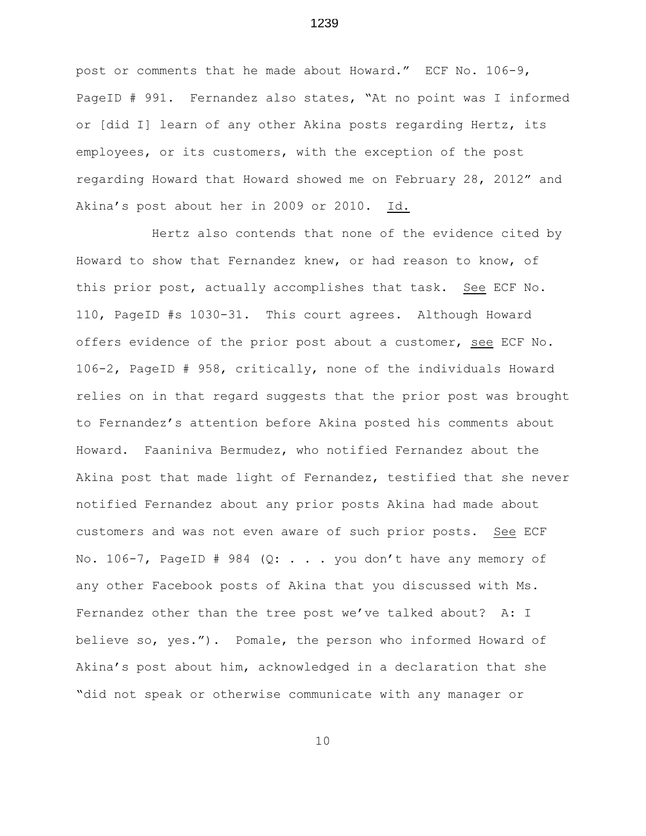post or comments that he made about Howard." ECF No. 106-9, PageID # 991. Fernandez also states, "At no point was I informed or [did I] learn of any other Akina posts regarding Hertz, its employees, or its customers, with the exception of the post regarding Howard that Howard showed me on February 28, 2012" and Akina's post about her in 2009 or 2010. Id.

Hertz also contends that none of the evidence cited by Howard to show that Fernandez knew, or had reason to know, of this prior post, actually accomplishes that task. See ECF No. 110, PageID #s 1030-31. This court agrees. Although Howard offers evidence of the prior post about a customer, see ECF No. 106-2, PageID # 958, critically, none of the individuals Howard relies on in that regard suggests that the prior post was brought to Fernandez's attention before Akina posted his comments about Howard. Faaniniva Bermudez, who notified Fernandez about the Akina post that made light of Fernandez, testified that she never notified Fernandez about any prior posts Akina had made about customers and was not even aware of such prior posts. See ECF No. 106-7, PageID # 984 (Q:  $\ldots$  . you don't have any memory of any other Facebook posts of Akina that you discussed with Ms. Fernandez other than the tree post we've talked about? A: I believe so, yes."). Pomale, the person who informed Howard of Akina's post about him, acknowledged in a declaration that she "did not speak or otherwise communicate with any manager or

1239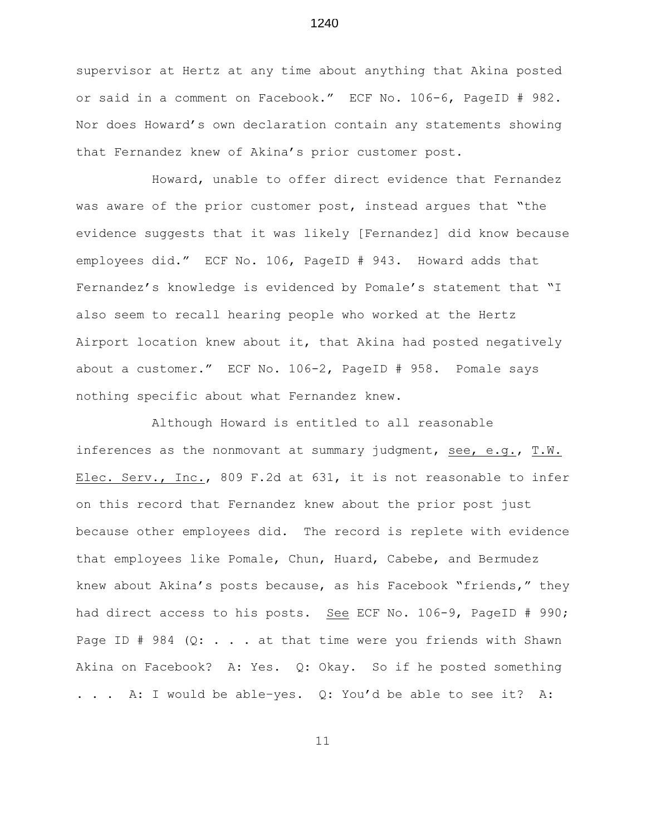supervisor at Hertz at any time about anything that Akina posted or said in a comment on Facebook." ECF No. 106-6, PageID # 982. Nor does Howard's own declaration contain any statements showing that Fernandez knew of Akina's prior customer post.

Howard, unable to offer direct evidence that Fernandez was aware of the prior customer post, instead arques that "the evidence suggests that it was likely [Fernandez] did know because employees did." ECF No. 106, PageID # 943. Howard adds that Fernandez's knowledge is evidenced by Pomale's statement that "I also seem to recall hearing people who worked at the Hertz Airport location knew about it, that Akina had posted negatively about a customer." ECF No. 106-2, PageID # 958. Pomale says nothing specific about what Fernandez knew.

Although Howard is entitled to all reasonable inferences as the nonmovant at summary judgment, see, e.g., T.W. Elec. Serv., Inc., 809 F.2d at 631, it is not reasonable to infer on this record that Fernandez knew about the prior post just because other employees did. The record is replete with evidence that employees like Pomale, Chun, Huard, Cabebe, and Bermudez knew about Akina's posts because, as his Facebook "friends," they had direct access to his posts. See ECF No. 106-9, PageID # 990; Page ID # 984  $(Q: . . . at that time were you friends with Shawn)$ Akina on Facebook? A: Yes. Q: Okay. So if he posted something . . . A: I would be able–yes. Q: You'd be able to see it? A:

11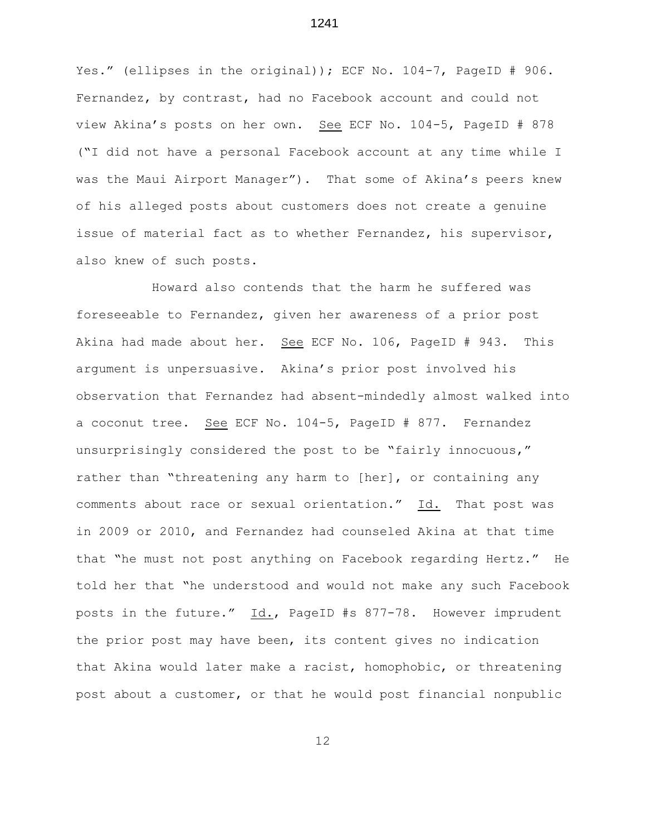Yes." (ellipses in the original)); ECF No. 104-7, PageID # 906. Fernandez, by contrast, had no Facebook account and could not view Akina's posts on her own. See ECF No. 104-5, PageID # 878 ("I did not have a personal Facebook account at any time while I was the Maui Airport Manager"). That some of Akina's peers knew of his alleged posts about customers does not create a genuine issue of material fact as to whether Fernandez, his supervisor, also knew of such posts.

Howard also contends that the harm he suffered was foreseeable to Fernandez, given her awareness of a prior post Akina had made about her. See ECF No. 106, PageID # 943. This argument is unpersuasive. Akina's prior post involved his observation that Fernandez had absent-mindedly almost walked into a coconut tree. See ECF No. 104-5, PageID # 877. Fernandez unsurprisingly considered the post to be "fairly innocuous," rather than "threatening any harm to [her], or containing any comments about race or sexual orientation." Id. That post was in 2009 or 2010, and Fernandez had counseled Akina at that time that "he must not post anything on Facebook regarding Hertz." He told her that "he understood and would not make any such Facebook posts in the future." Id., PageID #s 877-78. However imprudent the prior post may have been, its content gives no indication that Akina would later make a racist, homophobic, or threatening post about a customer, or that he would post financial nonpublic

12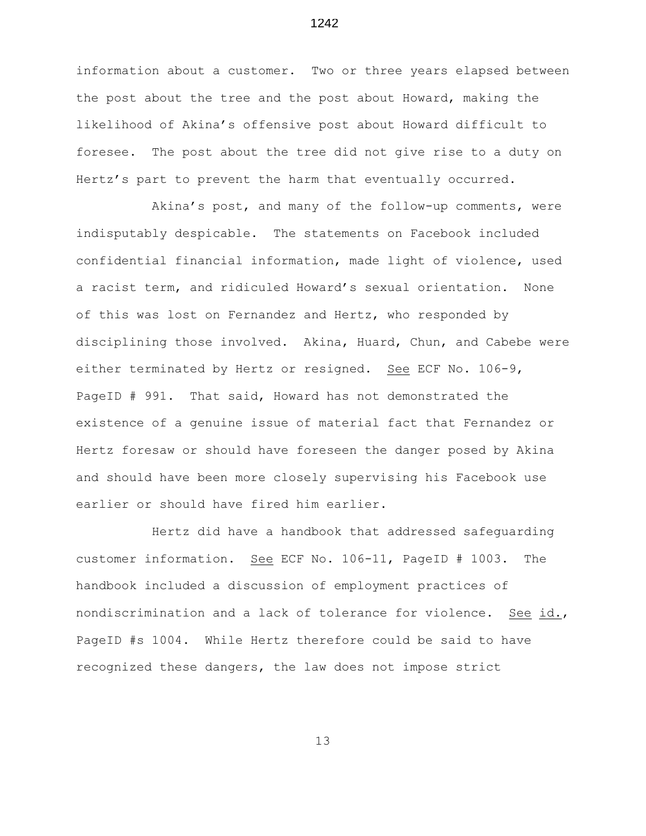information about a customer. Two or three years elapsed between the post about the tree and the post about Howard, making the likelihood of Akina's offensive post about Howard difficult to foresee. The post about the tree did not give rise to a duty on Hertz's part to prevent the harm that eventually occurred.

Akina's post, and many of the follow-up comments, were indisputably despicable. The statements on Facebook included confidential financial information, made light of violence, used a racist term, and ridiculed Howard's sexual orientation. None of this was lost on Fernandez and Hertz, who responded by disciplining those involved. Akina, Huard, Chun, and Cabebe were either terminated by Hertz or resigned. See ECF No. 106-9, PageID # 991. That said, Howard has not demonstrated the existence of a genuine issue of material fact that Fernandez or Hertz foresaw or should have foreseen the danger posed by Akina and should have been more closely supervising his Facebook use earlier or should have fired him earlier.

Hertz did have a handbook that addressed safeguarding customer information. See ECF No. 106-11, PageID # 1003. The handbook included a discussion of employment practices of nondiscrimination and a lack of tolerance for violence. See id., PageID #s 1004. While Hertz therefore could be said to have recognized these dangers, the law does not impose strict

13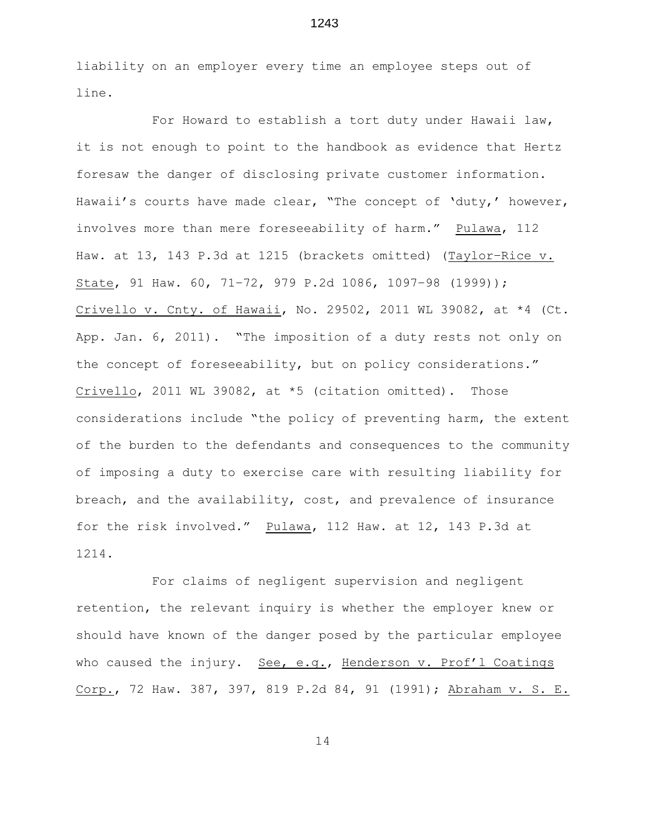liability on an employer every time an employee steps out of line.

For Howard to establish a tort duty under Hawaii law, it is not enough to point to the handbook as evidence that Hertz foresaw the danger of disclosing private customer information. Hawaii's courts have made clear, "The concept of 'duty,' however, involves more than mere foreseeability of harm." Pulawa, 112 Haw. at 13, 143 P.3d at 1215 (brackets omitted) (Taylor–Rice v. State, 91 Haw. 60, 71–72, 979 P.2d 1086, 1097–98 (1999)); Crivello v. Cnty. of Hawaii, No. 29502, 2011 WL 39082, at  $*4$  (Ct. App. Jan. 6, 2011). "The imposition of a duty rests not only on the concept of foreseeability, but on policy considerations." Crivello, 2011 WL 39082, at \*5 (citation omitted). Those considerations include "the policy of preventing harm, the extent of the burden to the defendants and consequences to the community of imposing a duty to exercise care with resulting liability for breach, and the availability, cost, and prevalence of insurance for the risk involved." Pulawa, 112 Haw. at 12, 143 P.3d at 1214.

For claims of negligent supervision and negligent retention, the relevant inquiry is whether the employer knew or should have known of the danger posed by the particular employee who caused the injury. See, e.g., Henderson v. Prof'l Coatings Corp., 72 Haw. 387, 397, 819 P.2d 84, 91 (1991); Abraham v. S. E.

14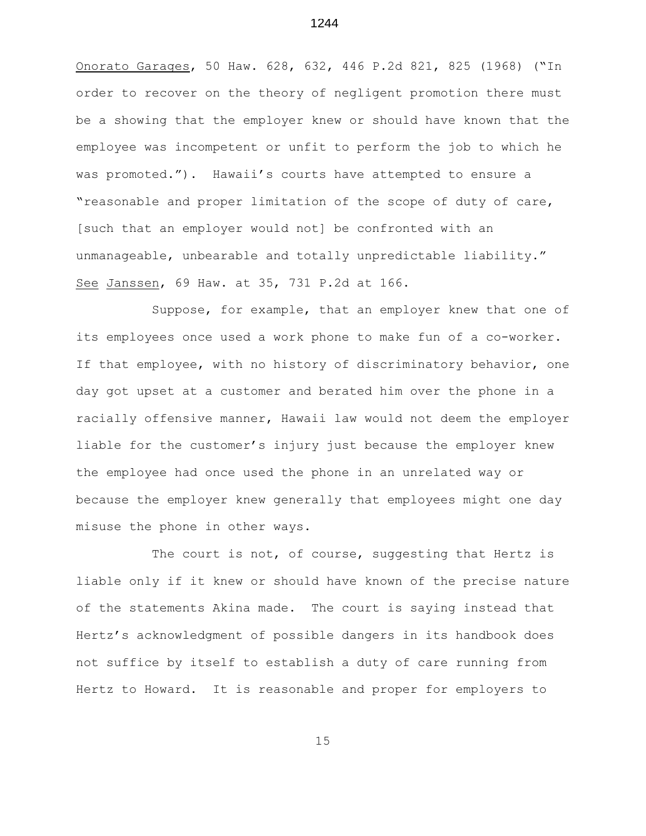Onorato Garages, 50 Haw. 628, 632, 446 P.2d 821, 825 (1968) ("In order to recover on the theory of negligent promotion there must be a showing that the employer knew or should have known that the employee was incompetent or unfit to perform the job to which he was promoted."). Hawaii's courts have attempted to ensure a "reasonable and proper limitation of the scope of duty of care, [such that an employer would not] be confronted with an unmanageable, unbearable and totally unpredictable liability." See Janssen, 69 Haw. at 35, 731 P.2d at 166.

Suppose, for example, that an employer knew that one of its employees once used a work phone to make fun of a co-worker. If that employee, with no history of discriminatory behavior, one day got upset at a customer and berated him over the phone in a racially offensive manner, Hawaii law would not deem the employer liable for the customer's injury just because the employer knew the employee had once used the phone in an unrelated way or because the employer knew generally that employees might one day misuse the phone in other ways.

The court is not, of course, suggesting that Hertz is liable only if it knew or should have known of the precise nature of the statements Akina made. The court is saying instead that Hertz's acknowledgment of possible dangers in its handbook does not suffice by itself to establish a duty of care running from Hertz to Howard. It is reasonable and proper for employers to

1244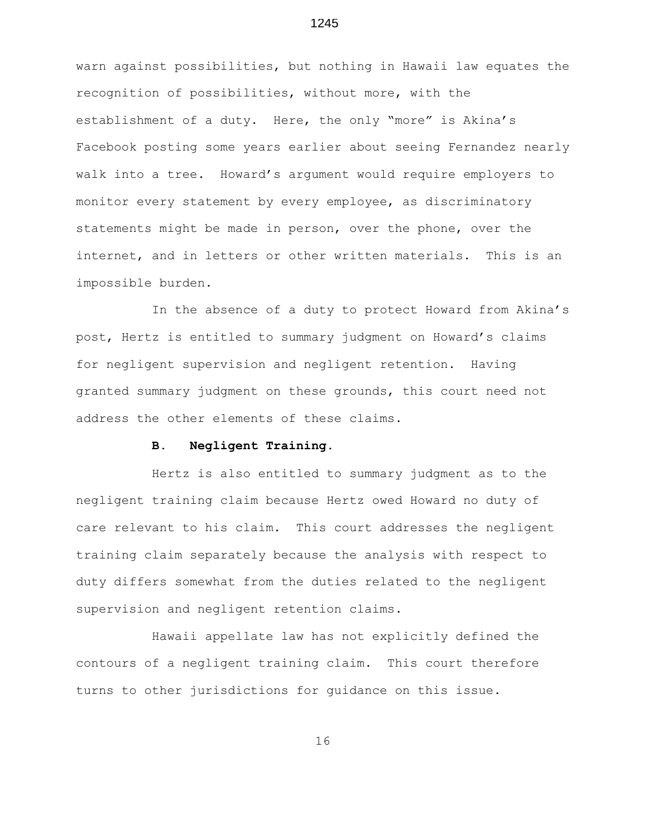warn against possibilities, but nothing in Hawaii law equates the recognition of possibilities, without more, with the establishment of a duty. Here, the only "more" is Akina's Facebook posting some years earlier about seeing Fernandez nearly walk into a tree. Howard's argument would require employers to monitor every statement by every employee, as discriminatory statements might be made in person, over the phone, over the internet, and in letters or other written materials. This is an impossible burden.

In the absence of a duty to protect Howard from Akina's post, Hertz is entitled to summary judgment on Howard's claims for negligent supervision and negligent retention. Having granted summary judgment on these grounds, this court need not address the other elements of these claims.

#### **B. Negligent Training.**

Hertz is also entitled to summary judgment as to the negligent training claim because Hertz owed Howard no duty of care relevant to his claim. This court addresses the negligent training claim separately because the analysis with respect to duty differs somewhat from the duties related to the negligent supervision and negligent retention claims.

Hawaii appellate law has not explicitly defined the contours of a negligent training claim. This court therefore turns to other jurisdictions for guidance on this issue.

16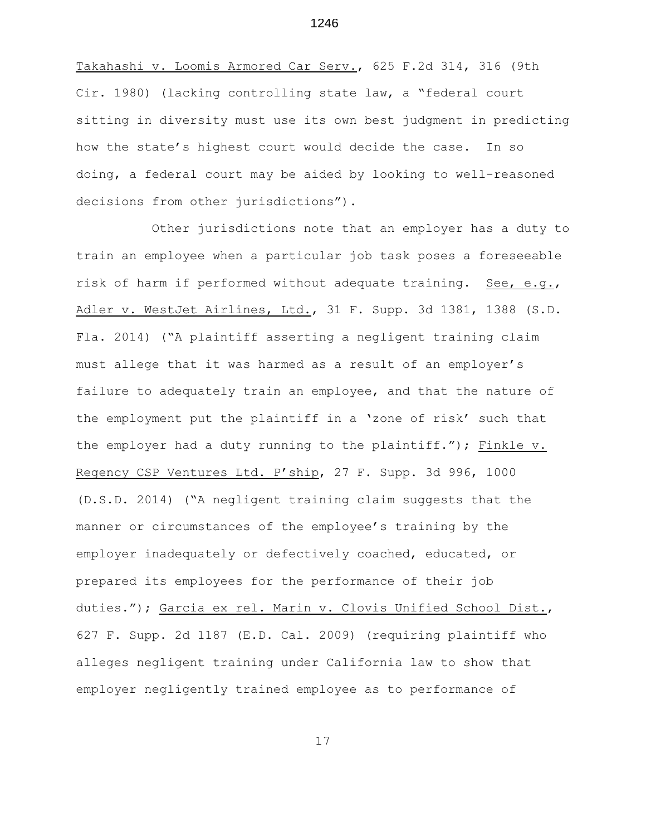Takahashi v. Loomis Armored Car Serv., 625 F.2d 314, 316 (9th Cir. 1980) (lacking controlling state law, a "federal court sitting in diversity must use its own best judgment in predicting how the state's highest court would decide the case. In so doing, a federal court may be aided by looking to well-reasoned decisions from other jurisdictions").

Other jurisdictions note that an employer has a duty to train an employee when a particular job task poses a foreseeable risk of harm if performed without adequate training. See, e.g., Adler v. WestJet Airlines, Ltd., 31 F. Supp. 3d 1381, 1388 (S.D. Fla. 2014) ("A plaintiff asserting a negligent training claim must allege that it was harmed as a result of an employer's failure to adequately train an employee, and that the nature of the employment put the plaintiff in a 'zone of risk' such that the employer had a duty running to the plaintiff."); Finkle v. Regency CSP Ventures Ltd. P'ship, 27 F. Supp. 3d 996, 1000 (D.S.D. 2014) ("A negligent training claim suggests that the manner or circumstances of the employee's training by the employer inadequately or defectively coached, educated, or prepared its employees for the performance of their job duties."); Garcia ex rel. Marin v. Clovis Unified School Dist., 627 F. Supp. 2d 1187 (E.D. Cal. 2009) (requiring plaintiff who alleges negligent training under California law to show that employer negligently trained employee as to performance of

17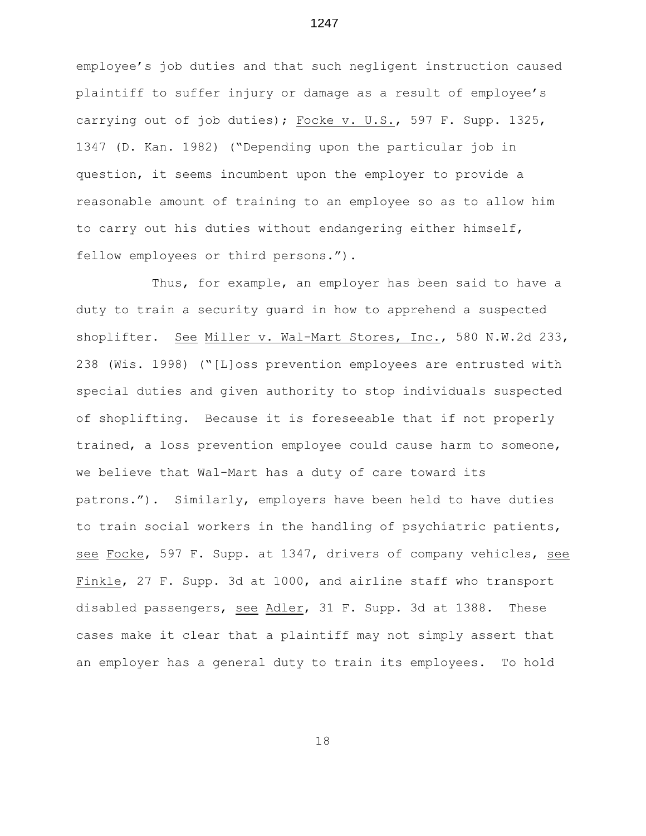employee's job duties and that such negligent instruction caused plaintiff to suffer injury or damage as a result of employee's carrying out of job duties); Focke v. U.S., 597 F. Supp. 1325, 1347 (D. Kan. 1982) ("Depending upon the particular job in question, it seems incumbent upon the employer to provide a reasonable amount of training to an employee so as to allow him to carry out his duties without endangering either himself, fellow employees or third persons.").

Thus, for example, an employer has been said to have a duty to train a security guard in how to apprehend a suspected shoplifter. See Miller v. Wal-Mart Stores, Inc., 580 N.W.2d 233, 238 (Wis. 1998) ("[L]oss prevention employees are entrusted with special duties and given authority to stop individuals suspected of shoplifting. Because it is foreseeable that if not properly trained, a loss prevention employee could cause harm to someone, we believe that Wal-Mart has a duty of care toward its patrons."). Similarly, employers have been held to have duties to train social workers in the handling of psychiatric patients, see Focke, 597 F. Supp. at 1347, drivers of company vehicles, see Finkle, 27 F. Supp. 3d at 1000, and airline staff who transport disabled passengers, see Adler, 31 F. Supp. 3d at 1388. These cases make it clear that a plaintiff may not simply assert that an employer has a general duty to train its employees. To hold

18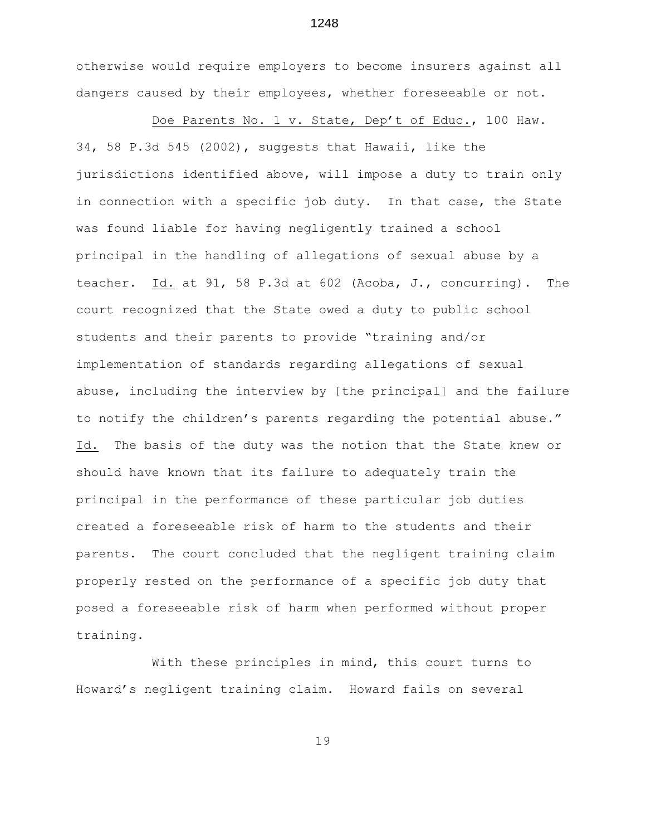otherwise would require employers to become insurers against all dangers caused by their employees, whether foreseeable or not.

 Doe Parents No. 1 v. State, Dep't of Educ., 100 Haw. 34, 58 P.3d 545 (2002), suggests that Hawaii, like the jurisdictions identified above, will impose a duty to train only in connection with a specific job duty. In that case, the State was found liable for having negligently trained a school principal in the handling of allegations of sexual abuse by a teacher. Id. at 91, 58 P.3d at 602 (Acoba, J., concurring). The court recognized that the State owed a duty to public school students and their parents to provide "training and/or implementation of standards regarding allegations of sexual abuse, including the interview by [the principal] and the failure to notify the children's parents regarding the potential abuse." Id. The basis of the duty was the notion that the State knew or should have known that its failure to adequately train the principal in the performance of these particular job duties created a foreseeable risk of harm to the students and their parents. The court concluded that the negligent training claim properly rested on the performance of a specific job duty that posed a foreseeable risk of harm when performed without proper training.

With these principles in mind, this court turns to Howard's negligent training claim. Howard fails on several

19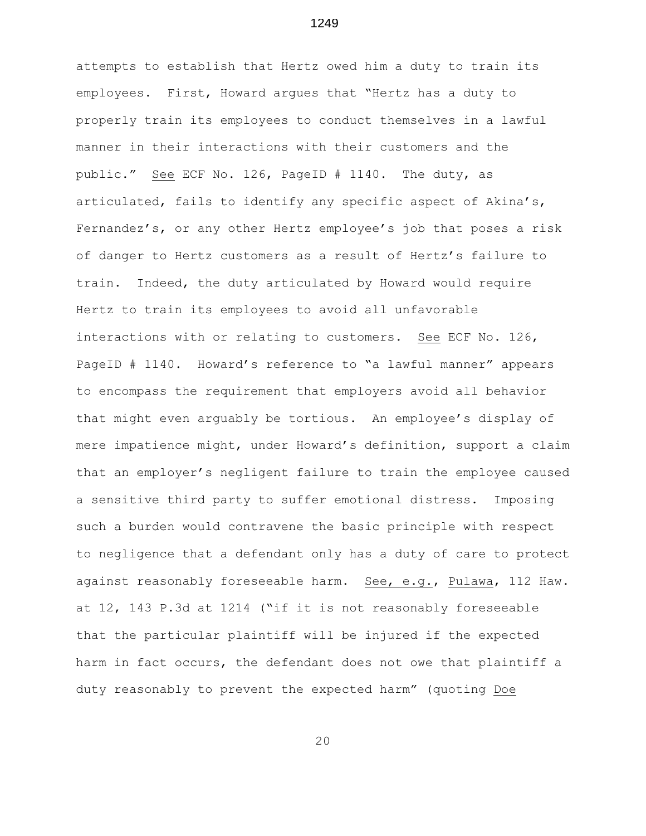attempts to establish that Hertz owed him a duty to train its employees. First, Howard argues that "Hertz has a duty to properly train its employees to conduct themselves in a lawful manner in their interactions with their customers and the public." See ECF No. 126, PageID # 1140. The duty, as articulated, fails to identify any specific aspect of Akina's, Fernandez's, or any other Hertz employee's job that poses a risk of danger to Hertz customers as a result of Hertz's failure to train. Indeed, the duty articulated by Howard would require Hertz to train its employees to avoid all unfavorable interactions with or relating to customers. See ECF No. 126, PageID # 1140. Howard's reference to "a lawful manner" appears to encompass the requirement that employers avoid all behavior that might even arguably be tortious. An employee's display of mere impatience might, under Howard's definition, support a claim that an employer's negligent failure to train the employee caused a sensitive third party to suffer emotional distress. Imposing such a burden would contravene the basic principle with respect to negligence that a defendant only has a duty of care to protect against reasonably foreseeable harm. See, e.g., Pulawa, 112 Haw. at 12, 143 P.3d at 1214 ("if it is not reasonably foreseeable that the particular plaintiff will be injured if the expected harm in fact occurs, the defendant does not owe that plaintiff a duty reasonably to prevent the expected harm" (quoting Doe

1249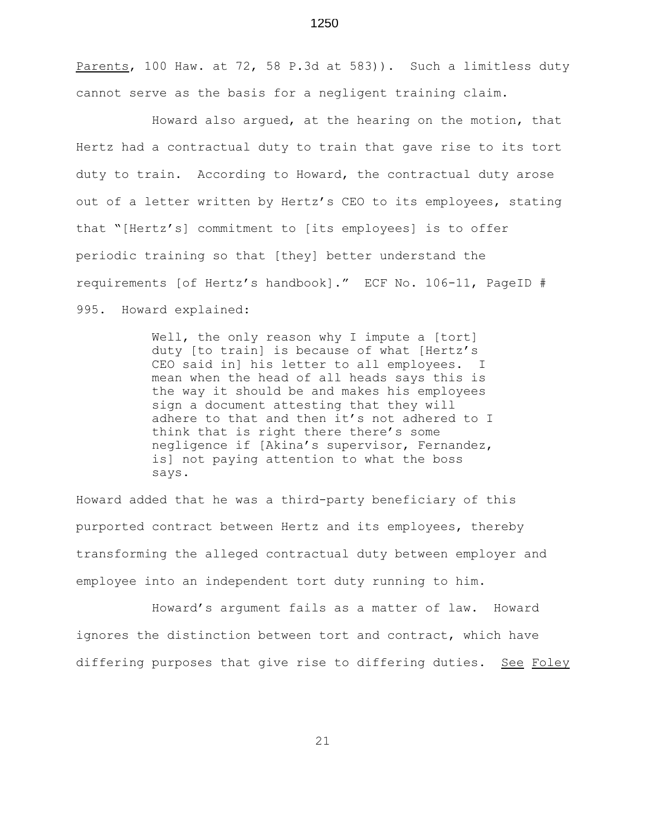Parents, 100 Haw. at 72, 58 P.3d at 583)). Such a limitless duty cannot serve as the basis for a negligent training claim.

Howard also argued, at the hearing on the motion, that Hertz had a contractual duty to train that gave rise to its tort duty to train. According to Howard, the contractual duty arose out of a letter written by Hertz's CEO to its employees, stating that "[Hertz's] commitment to [its employees] is to offer periodic training so that [they] better understand the requirements [of Hertz's handbook]." ECF No. 106-11, PageID # 995. Howard explained:

> Well, the only reason why I impute a [tort] duty [to train] is because of what [Hertz's CEO said in] his letter to all employees. I mean when the head of all heads says this is the way it should be and makes his employees sign a document attesting that they will adhere to that and then it's not adhered to I think that is right there there's some negligence if [Akina's supervisor, Fernandez, is] not paying attention to what the boss says.

Howard added that he was a third-party beneficiary of this purported contract between Hertz and its employees, thereby transforming the alleged contractual duty between employer and employee into an independent tort duty running to him.

Howard's argument fails as a matter of law. Howard ignores the distinction between tort and contract, which have differing purposes that give rise to differing duties. See Foley

1250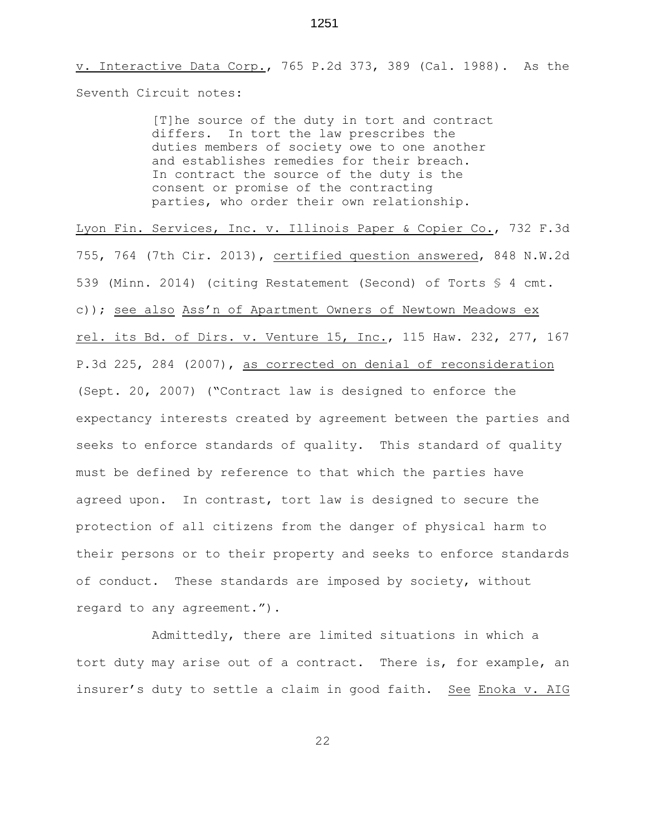v. Interactive Data Corp., 765 P.2d 373, 389 (Cal. 1988). As the Seventh Circuit notes:

> [T]he source of the duty in tort and contract differs. In tort the law prescribes the duties members of society owe to one another and establishes remedies for their breach. In contract the source of the duty is the consent or promise of the contracting parties, who order their own relationship.

Lyon Fin. Services, Inc. v. Illinois Paper & Copier Co., 732 F.3d 755, 764 (7th Cir. 2013), certified question answered, 848 N.W.2d 539 (Minn. 2014) (citing Restatement (Second) of Torts § 4 cmt. c)); see also Ass'n of Apartment Owners of Newtown Meadows ex rel. its Bd. of Dirs. v. Venture 15, Inc., 115 Haw. 232, 277, 167 P.3d 225, 284 (2007), as corrected on denial of reconsideration (Sept. 20, 2007) ("Contract law is designed to enforce the expectancy interests created by agreement between the parties and seeks to enforce standards of quality. This standard of quality must be defined by reference to that which the parties have agreed upon. In contrast, tort law is designed to secure the protection of all citizens from the danger of physical harm to their persons or to their property and seeks to enforce standards of conduct. These standards are imposed by society, without regard to any agreement.").

Admittedly, there are limited situations in which a tort duty may arise out of a contract. There is, for example, an insurer's duty to settle a claim in good faith. See Enoka v. AIG

1251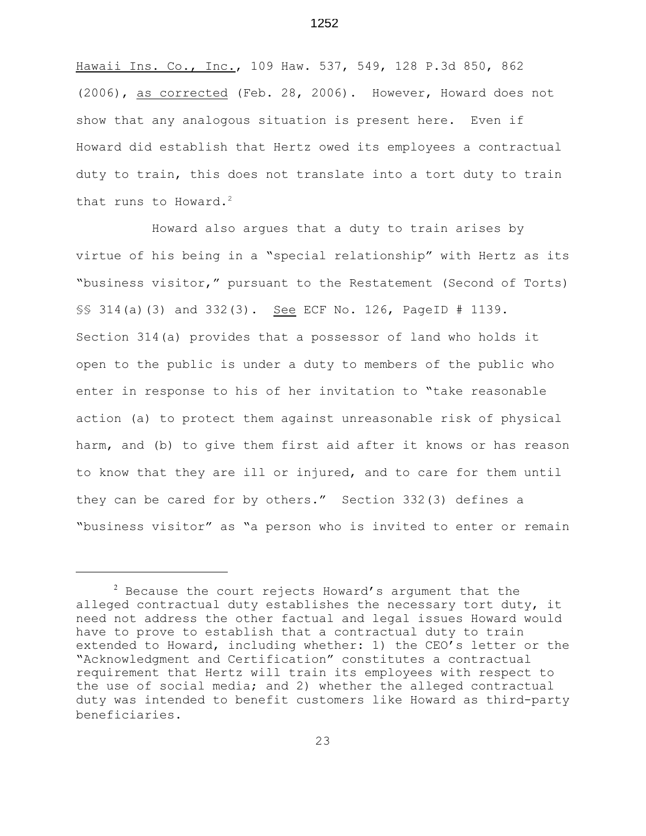Hawaii Ins. Co., Inc., 109 Haw. 537, 549, 128 P.3d 850, 862 (2006), as corrected (Feb. 28, 2006). However, Howard does not show that any analogous situation is present here. Even if Howard did establish that Hertz owed its employees a contractual duty to train, this does not translate into a tort duty to train that runs to Howard. $2$ 

Howard also argues that a duty to train arises by virtue of his being in a "special relationship" with Hertz as its "business visitor," pursuant to the Restatement (Second of Torts) §§ 314(a)(3) and 332(3). See ECF No. 126, PageID # 1139. Section 314(a) provides that a possessor of land who holds it open to the public is under a duty to members of the public who enter in response to his of her invitation to "take reasonable action (a) to protect them against unreasonable risk of physical harm, and (b) to give them first aid after it knows or has reason to know that they are ill or injured, and to care for them until they can be cared for by others." Section 332(3) defines a "business visitor" as "a person who is invited to enter or remain

 $2$  Because the court rejects Howard's argument that the alleged contractual duty establishes the necessary tort duty, it need not address the other factual and legal issues Howard would have to prove to establish that a contractual duty to train extended to Howard, including whether: 1) the CEO's letter or the "Acknowledgment and Certification" constitutes a contractual requirement that Hertz will train its employees with respect to the use of social media; and 2) whether the alleged contractual duty was intended to benefit customers like Howard as third-party beneficiaries.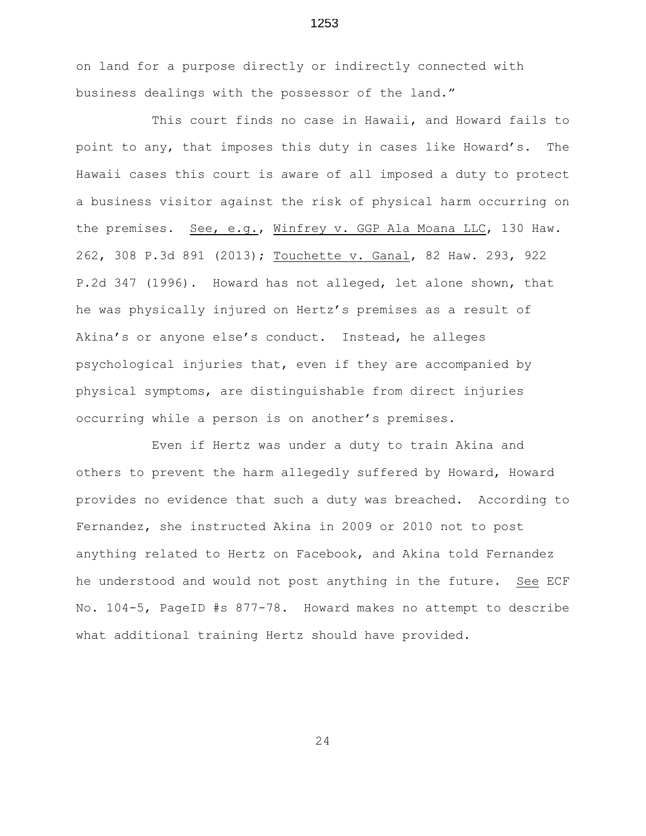on land for a purpose directly or indirectly connected with business dealings with the possessor of the land."

This court finds no case in Hawaii, and Howard fails to point to any, that imposes this duty in cases like Howard's. The Hawaii cases this court is aware of all imposed a duty to protect a business visitor against the risk of physical harm occurring on the premises. See, e.g., Winfrey v. GGP Ala Moana LLC, 130 Haw. 262, 308 P.3d 891 (2013); Touchette v. Ganal, 82 Haw. 293, 922 P.2d 347 (1996). Howard has not alleged, let alone shown, that he was physically injured on Hertz's premises as a result of Akina's or anyone else's conduct. Instead, he alleges psychological injuries that, even if they are accompanied by physical symptoms, are distinguishable from direct injuries occurring while a person is on another's premises.

Even if Hertz was under a duty to train Akina and others to prevent the harm allegedly suffered by Howard, Howard provides no evidence that such a duty was breached. According to Fernandez, she instructed Akina in 2009 or 2010 not to post anything related to Hertz on Facebook, and Akina told Fernandez he understood and would not post anything in the future. See ECF No. 104-5, PageID #s 877-78. Howard makes no attempt to describe what additional training Hertz should have provided.

24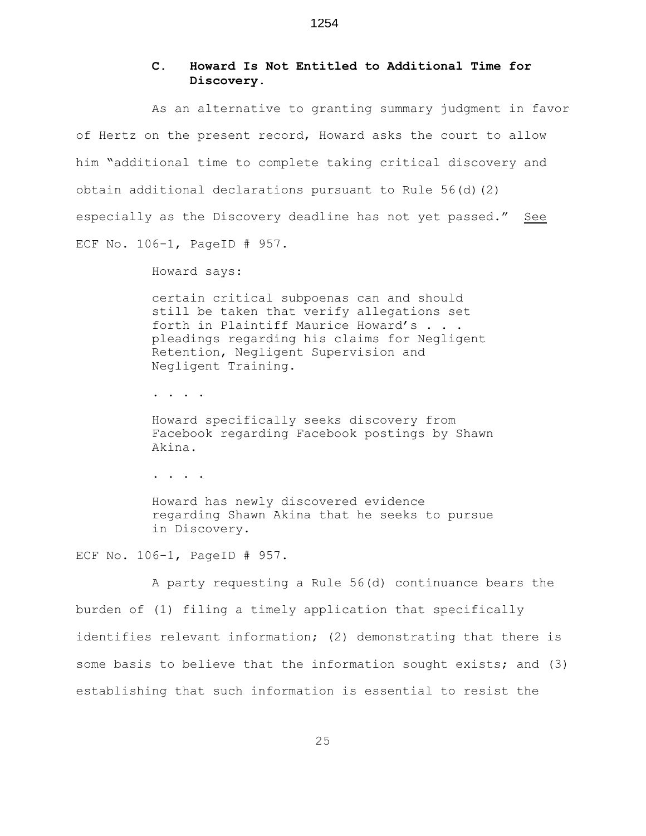## **C. Howard Is Not Entitled to Additional Time for Discovery.**

As an alternative to granting summary judgment in favor of Hertz on the present record, Howard asks the court to allow him "additional time to complete taking critical discovery and obtain additional declarations pursuant to Rule 56(d)(2) especially as the Discovery deadline has not yet passed." See ECF No. 106-1, PageID # 957.

Howard says:

certain critical subpoenas can and should still be taken that verify allegations set forth in Plaintiff Maurice Howard's . . . pleadings regarding his claims for Negligent Retention, Negligent Supervision and Negligent Training.

. . . .

Howard specifically seeks discovery from Facebook regarding Facebook postings by Shawn Akina.

. . . .

Howard has newly discovered evidence regarding Shawn Akina that he seeks to pursue in Discovery.

ECF No. 106-1, PageID # 957.

A party requesting a Rule 56(d) continuance bears the burden of (1) filing a timely application that specifically identifies relevant information; (2) demonstrating that there is some basis to believe that the information sought exists; and (3) establishing that such information is essential to resist the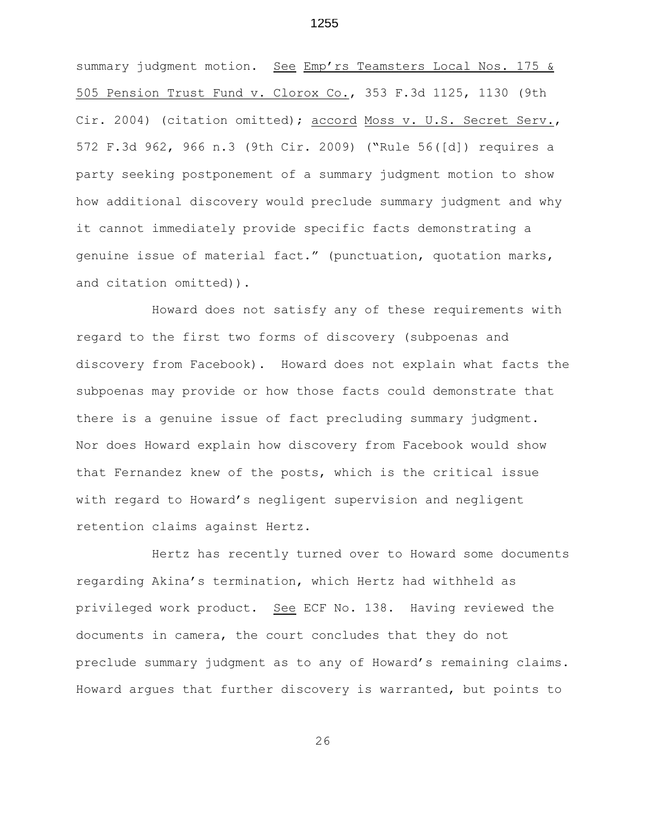summary judgment motion. See Emp'rs Teamsters Local Nos. 175 & 505 Pension Trust Fund v. Clorox Co., 353 F.3d 1125, 1130 (9th Cir. 2004) (citation omitted); accord Moss v. U.S. Secret Serv., 572 F.3d 962, 966 n.3 (9th Cir. 2009) ("Rule 56([d]) requires a party seeking postponement of a summary judgment motion to show how additional discovery would preclude summary judgment and why it cannot immediately provide specific facts demonstrating a genuine issue of material fact." (punctuation, quotation marks, and citation omitted)).

Howard does not satisfy any of these requirements with regard to the first two forms of discovery (subpoenas and discovery from Facebook). Howard does not explain what facts the subpoenas may provide or how those facts could demonstrate that there is a genuine issue of fact precluding summary judgment. Nor does Howard explain how discovery from Facebook would show that Fernandez knew of the posts, which is the critical issue with regard to Howard's negligent supervision and negligent retention claims against Hertz.

Hertz has recently turned over to Howard some documents regarding Akina's termination, which Hertz had withheld as privileged work product. See ECF No. 138. Having reviewed the documents in camera, the court concludes that they do not preclude summary judgment as to any of Howard's remaining claims. Howard argues that further discovery is warranted, but points to

26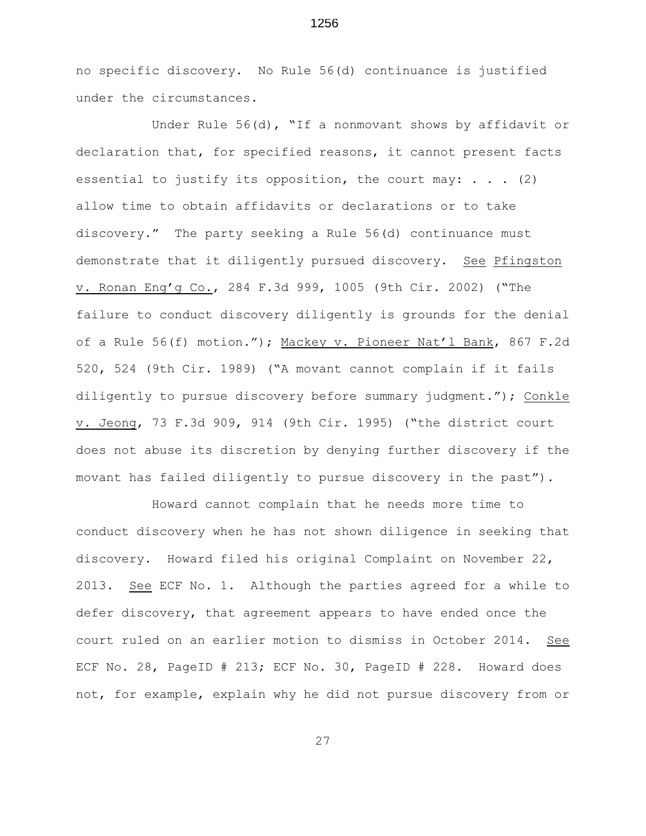no specific discovery. No Rule 56(d) continuance is justified under the circumstances.

1256

Under Rule 56(d), "If a nonmovant shows by affidavit or declaration that, for specified reasons, it cannot present facts essential to justify its opposition, the court may:  $\ldots$  (2) allow time to obtain affidavits or declarations or to take discovery." The party seeking a Rule 56(d) continuance must demonstrate that it diligently pursued discovery. See Pfingston v. Ronan Eng'g Co., 284 F.3d 999, 1005 (9th Cir. 2002) ("The failure to conduct discovery diligently is grounds for the denial of a Rule 56(f) motion."); Mackey v. Pioneer Nat'l Bank, 867 F.2d 520, 524 (9th Cir. 1989) ("A movant cannot complain if it fails diligently to pursue discovery before summary judgment."); Conkle v. Jeong, 73 F.3d 909, 914 (9th Cir. 1995) ("the district court does not abuse its discretion by denying further discovery if the movant has failed diligently to pursue discovery in the past").

Howard cannot complain that he needs more time to conduct discovery when he has not shown diligence in seeking that discovery. Howard filed his original Complaint on November 22, 2013. See ECF No. 1. Although the parties agreed for a while to defer discovery, that agreement appears to have ended once the court ruled on an earlier motion to dismiss in October 2014. See ECF No. 28, PageID # 213; ECF No. 30, PageID # 228. Howard does not, for example, explain why he did not pursue discovery from or